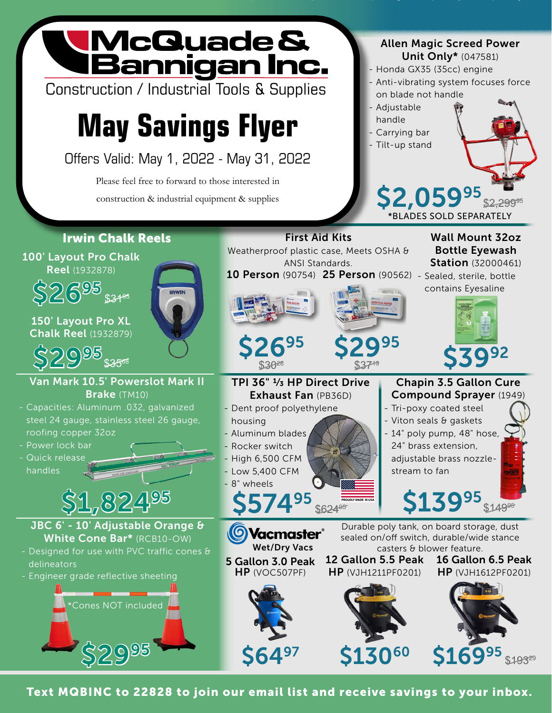## WcQuade &<br>LBannigan Inc. Allen Magic Screed Power Unit Only\* (047581) - Honda GX35 (35cc) engine - Anti-vibrating system focuses force Construction / Industrial Tools & Supplies on blade not handle - Adjustable **May Savings Flyer** handle - Carrying bar - Tilt-up stand Offers Valid: May 1, 2022 - May 31, 2022 Please feel free to forward to those interested in \$2,05995 construction & industrial equipment & supplies  $$2,299^{\circ5}$ \*BLADES SOLD SEPARATELY Irwin Chalk Reels First Aid Kits Wall Mount 32oz Weatherproof plastic case, Meets OSHA & Bottle Eyewash 100' Layout Pro Chalk ANSI Standards. **Station** (32000461) Reel (1932878) 10 Person (90754) 25 Person (90562) - Sealed, sterile, bottle \$26<sup>95</sup> \$31\* contains Eyesaline 150' Layout Pro XL Chalk Reel (1932879) \$2695 \$2995  $$29^{95}_{\,535^{56}}$   $$\mathsf{539^{28}}$$   $$\mathsf{539^{28}}$$   $$\mathsf{539^{22}}$$ \$3028 Van Mark 10.5' Powerslot Mark II TPI 36" 1/3 HP Direct Drive Chapin 3.5 Gallon Cure Brake (TM10) Compound Sprayer (1949) Exhaust Fan (PB36D) - Capacities: Aluminum .032, galvanized - Dent proof polyethylene - Tri-poxy coated steel steel 24 gauge, stainless steel 26 gauge, - Viton seals & gaskets housing - 14" poly pump, 48" hose, roofing copper 32oz - Aluminum blades - Power lock bar - Rocker switch 24" brass extension, - Quick release - High 6,500 CFM adjustable brass nozzlehandles - Low 5,400 CFM stream to fan - 8" wheels \$1,82495 \$57495 **\$624 \$6249 \$13995 \$149** JBC 6' - 10' Adjustable Orange & Durable poly tank, on board storage, dust **Vacmaster**® White Cone Bar\* (RCB10-OW) sealed on/off switch, durable/wide stance Wet/Dry Vacs casters & blower feature. - Designed for use with PVC traffic cones & 12 Gallon 5.5 Peak 16 Gallon 6.5 Peak 5 Gallon 3.0 Peak delineators HP (VOC507PF) HP (VJH1211PF0201) HP (VJH1612PF0201) - Engineer grade reflective sheeting \*Cones NOT included

Text MQBINC to 22828 to join our email list and receive savings to your inbox.

\$2995

S169<sup>95</sup>